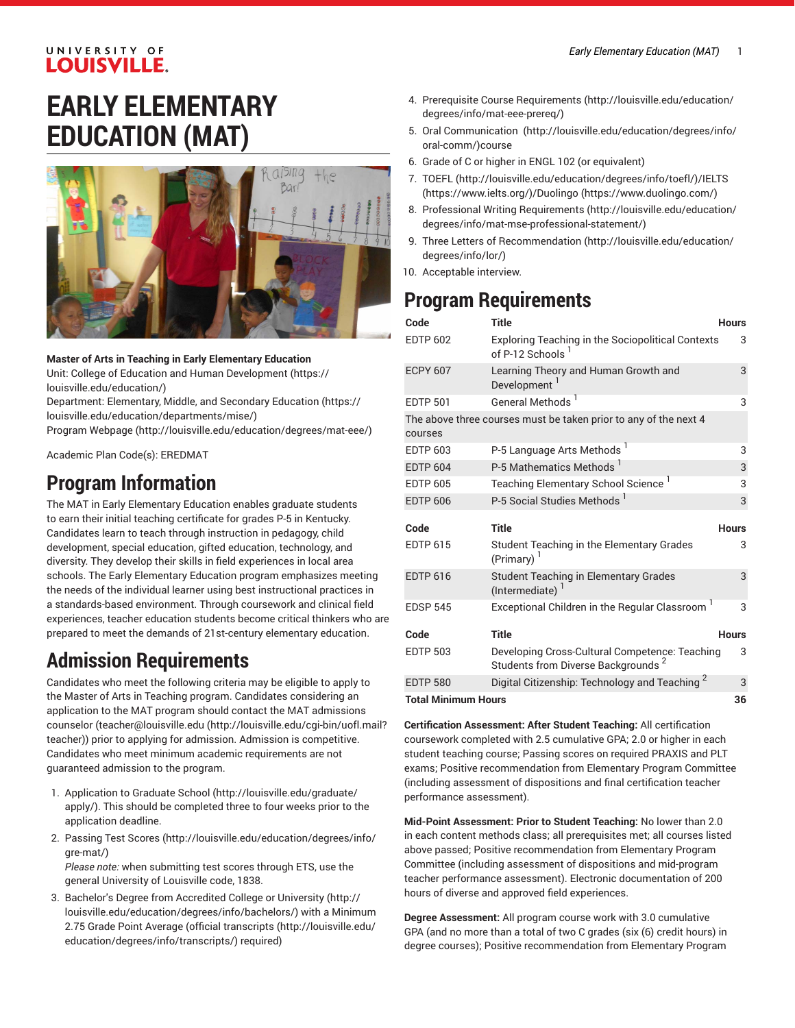#### UNIVERSITY OF **LOUISVILLE.**

# **EARLY ELEMENTARY EDUCATION (MAT)**



**Master of Arts in Teaching in Early Elementary Education**

Unit: College of Education and Human [Development \(https://](https://louisville.edu/education/) [louisville.edu/education/](https://louisville.edu/education/))

Department: [Elementary,](https://louisville.edu/education/departments/mise/) Middle, and Secondary Education ([https://](https://louisville.edu/education/departments/mise/) [louisville.edu/education/departments/mise/](https://louisville.edu/education/departments/mise/))

Program [Webpage](http://louisville.edu/education/degrees/mat-eee/) [\(http://louisville.edu/education/degrees/mat-eee/\)](http://louisville.edu/education/degrees/mat-eee/)

Academic Plan Code(s): EREDMAT

## **Program Information**

The MAT in Early Elementary Education enables graduate students to earn their initial teaching certificate for grades P-5 in Kentucky. Candidates learn to teach through instruction in pedagogy, child development, special education, gifted education, technology, and diversity. They develop their skills in field experiences in local area schools. The Early Elementary Education program emphasizes meeting the needs of the individual learner using best instructional practices in a standards-based environment. Through coursework and clinical field experiences, teacher education students become critical thinkers who are prepared to meet the demands of 21st-century elementary education.

## **Admission Requirements**

Candidates who meet the following criteria may be eligible to apply to the Master of Arts in Teaching program. Candidates considering an application to the MAT program should contact the MAT admissions counselor [\(teacher@louisville.edu](http://louisville.edu/cgi-bin/uofl.mail?teacher) [\(http://louisville.edu/cgi-bin/uofl.mail?](http://louisville.edu/cgi-bin/uofl.mail?teacher) [teacher](http://louisville.edu/cgi-bin/uofl.mail?teacher))) prior to applying for admission. Admission is competitive. Candidates who meet minimum academic requirements are not guaranteed admission to the program.

- 1. [Application to Graduate School](http://louisville.edu/graduate/apply/) ([http://louisville.edu/graduate/](http://louisville.edu/graduate/apply/) [apply/\)](http://louisville.edu/graduate/apply/). This should be completed three to four weeks prior to the application deadline.
- 2. [Passing](http://louisville.edu/education/degrees/info/gre-mat/) Test Scores ([http://louisville.edu/education/degrees/info/](http://louisville.edu/education/degrees/info/gre-mat/) [gre-mat/](http://louisville.edu/education/degrees/info/gre-mat/)) *Please note:* when submitting test scores through ETS, use the

general University of Louisville code, 1838.

3. Bachelor's Degree from [Accredited](http://louisville.edu/education/degrees/info/bachelors/) College or University [\(http://](http://louisville.edu/education/degrees/info/bachelors/) [louisville.edu/education/degrees/info/bachelors/](http://louisville.edu/education/degrees/info/bachelors/)) with a Minimum 2.75 Grade Point Average ([official transcripts](http://louisville.edu/education/degrees/info/transcripts/) ([http://louisville.edu/](http://louisville.edu/education/degrees/info/transcripts/) [education/degrees/info/transcripts/\)](http://louisville.edu/education/degrees/info/transcripts/) required)

- 4. Prerequisite Course [Requirements](http://louisville.edu/education/degrees/info/mat-eee-prereq/) ([http://louisville.edu/education/](http://louisville.edu/education/degrees/info/mat-eee-prereq/) [degrees/info/mat-eee-prereq/\)](http://louisville.edu/education/degrees/info/mat-eee-prereq/)
- 5. [Oral Communication](http://louisville.edu/education/degrees/info/oral-comm/)  ([http://louisville.edu/education/degrees/info/](http://louisville.edu/education/degrees/info/oral-comm/) [oral-comm/](http://louisville.edu/education/degrees/info/oral-comm/))course
- 6. Grade of C or higher in ENGL 102 (or equivalent)
- 7. [TOEFL](http://louisville.edu/education/degrees/info/toefl/) (<http://louisville.edu/education/degrees/info/toefl/>)[/IELTS](https://www.ielts.org/) [\(https://www.ielts.org/\)](https://www.ielts.org/)/[Duolingo \(https://www.duolingo.com/](https://www.duolingo.com/))
- 8. Professional Writing [Requirements](http://louisville.edu/education/degrees/info/mat-mse-professional-statement/) ([http://louisville.edu/education/](http://louisville.edu/education/degrees/info/mat-mse-professional-statement/) [degrees/info/mat-mse-professional-statement/](http://louisville.edu/education/degrees/info/mat-mse-professional-statement/))
- 9. Three [Letters of Recommendation](http://louisville.edu/education/degrees/info/lor/) ([http://louisville.edu/education/](http://louisville.edu/education/degrees/info/lor/) [degrees/info/lor/](http://louisville.edu/education/degrees/info/lor/))
- 10. Acceptable interview.

# **Program Requirements**

| Code            | <b>Title</b>                                                                                     | <b>Hours</b> |
|-----------------|--------------------------------------------------------------------------------------------------|--------------|
| <b>EDTP 602</b> | <b>Exploring Teaching in the Sociopolitical Contexts</b><br>of P-12 Schools <sup>1</sup>         | 3            |
| <b>ECPY 607</b> | Learning Theory and Human Growth and<br>Development <sup>1</sup>                                 | 3            |
| <b>EDTP 501</b> | General Methods <sup>1</sup>                                                                     | 3            |
| courses         | The above three courses must be taken prior to any of the next 4                                 |              |
| <b>EDTP 603</b> | P-5 Language Arts Methods                                                                        | 3            |
| <b>EDTP 604</b> | P-5 Mathematics Methods <sup>1</sup>                                                             | 3            |
| <b>EDTP 605</b> | Teaching Elementary School Science <sup>1</sup>                                                  | 3            |
| <b>EDTP 606</b> | P-5 Social Studies Methods <sup>1</sup>                                                          | 3            |
|                 |                                                                                                  |              |
|                 |                                                                                                  |              |
| Code            | <b>Title</b>                                                                                     | <b>Hours</b> |
| <b>EDTP 615</b> | Student Teaching in the Elementary Grades<br>$(Primary)^1$                                       | 3            |
| <b>EDTP 616</b> | <b>Student Teaching in Elementary Grades</b><br>$($ Intermediate $)^1$                           | 3            |
| <b>EDSP 545</b> | Exceptional Children in the Regular Classroom                                                    | 3            |
| Code            | <b>Title</b>                                                                                     | <b>Hours</b> |
| <b>EDTP 503</b> | Developing Cross-Cultural Competence: Teaching<br>Students from Diverse Backgrounds <sup>2</sup> | 3            |
| <b>EDTP 580</b> | Digital Citizenship: Technology and Teaching <sup>2</sup>                                        | 3            |

**Certification Assessment: After Student Teaching:** All certification coursework completed with 2.5 cumulative GPA; 2.0 or higher in each student teaching course; Passing scores on required PRAXIS and PLT exams; Positive recommendation from Elementary Program Committee (including assessment of dispositions and final certification teacher performance assessment).

**Mid-Point Assessment: Prior to Student Teaching:** No lower than 2.0 in each content methods class; all prerequisites met; all courses listed above passed; Positive recommendation from Elementary Program Committee (including assessment of dispositions and mid-program teacher performance assessment). Electronic documentation of 200 hours of diverse and approved field experiences.

**Degree Assessment:** All program course work with 3.0 cumulative GPA (and no more than a total of two C grades (six (6) credit hours) in degree courses); Positive recommendation from Elementary Program